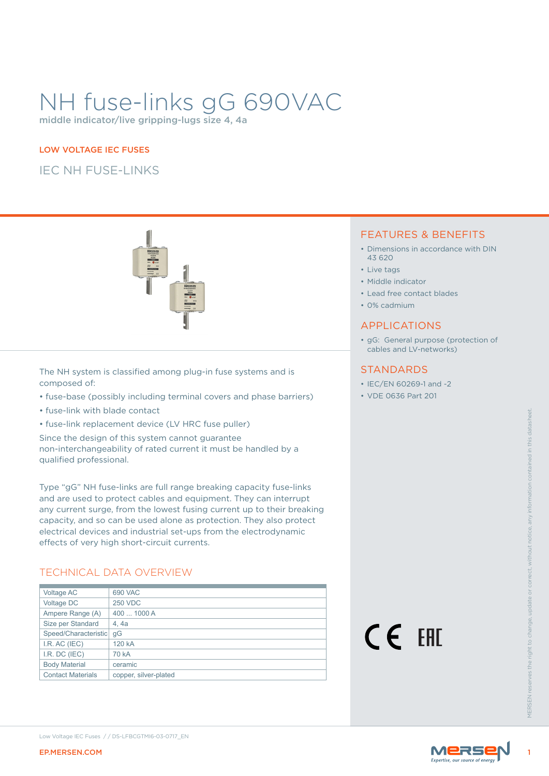# NH fuse-links gG 690VAC

middle indicator/live gripping-lugs size 4, 4a

#### LOW VOLTAGE IEC FUSES

IEC NH FUSE-LINKS



The NH system is classified among plug-in fuse systems and is composed of:

- fuse-base (possibly including terminal covers and phase barriers)
- fuse-link with blade contact
- fuse-link replacement device (LV HRC fuse puller)

## TECHNICAL DATA OVERVIEW

| <b>EP.MERSEN.COM</b>                                                                                                                                                               | Low Voltage IEC Fuses //DS-LFBCGTMI6-03-0717_EN                                                                                                                                                                                                                                                                                                                                                                                                 |        | Mers |                    |
|------------------------------------------------------------------------------------------------------------------------------------------------------------------------------------|-------------------------------------------------------------------------------------------------------------------------------------------------------------------------------------------------------------------------------------------------------------------------------------------------------------------------------------------------------------------------------------------------------------------------------------------------|--------|------|--------------------|
| Voltage AC<br>Voltage DC<br>Ampere Range (A)<br>Size per Standard<br>Speed/Characteristic gG<br>I.R. AC (IEC)<br>I.R. DC (IEC)<br><b>Body Material</b><br><b>Contact Materials</b> | 690 VAC<br><b>250 VDC</b><br>400  1000 A<br>4, 4a<br>120 kA<br>70 kA<br>ceramic<br>copper, silver-plated                                                                                                                                                                                                                                                                                                                                        | CE EHI |      | <b>VIFRSEN res</b> |
|                                                                                                                                                                                    | Type "gG" NH fuse-links are full range breaking capacity fuse-links<br>and are used to protect cables and equipment. They can interrupt<br>any current surge, from the lowest fusing current up to their breaking<br>capacity, and so can be used alone as protection. They also protect<br>electrical devices and industrial set-ups from the electrodynamic<br>effects of very high short-circuit currents.<br><b>TECHNICAL DATA OVERVIEW</b> |        |      |                    |
| qualified professional.                                                                                                                                                            | • fuse-link replacement device (LV HRC fuse puller)<br>Since the design of this system cannot guarantee<br>non-interchangeability of rated current it must be handled by a                                                                                                                                                                                                                                                                      |        |      |                    |
| • fuse-link with blade contact                                                                                                                                                     |                                                                                                                                                                                                                                                                                                                                                                                                                                                 |        |      |                    |

#### FEATURES & BENEFITS

- Dimensions in accordance with DIN 43 620
- Live tags
- Middle indicator
- Lead free contact blades
- 0% cadmium

#### APPLICATIONS

• gG: General purpose (protection of cables and LV-networks)

#### **STANDARDS**

- IEC/EN 60269-1 and -2
- VDE 0636 Part 201



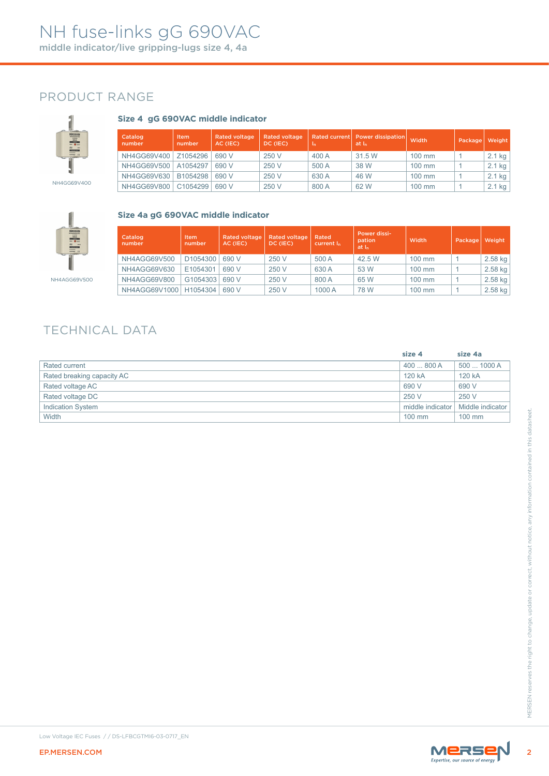## PRODUCT RANGE



### **Size 4 gG 690VAC middle indicator**

| the contract of the second contract of<br>$(25)$ will<br><b>RESILITATION</b>                             | Catalog<br>number | Item<br>number | <b>Rated voltage</b><br>AC (IEC) | Rated voltage<br>DC (IEC) | In    | Rated current   Power dissipation<br>at I <sub>n</sub> | Width    | Package | Weight   |
|----------------------------------------------------------------------------------------------------------|-------------------|----------------|----------------------------------|---------------------------|-------|--------------------------------------------------------|----------|---------|----------|
| $\frac{1}{\sqrt{2}}\int_{0}^{\frac{1}{\sqrt{2}}} \frac{1}{\sqrt{2}}e^{-\frac{1}{2}x}e^{-\frac{1}{2}x}dx$ | NH4GG69V400       | Z1054296       | 690 V                            | 250 V                     | 400 A | 31.5 W                                                 | 100 mm   |         | $2.1$ kg |
|                                                                                                          | NH4GG69V500       | A1054297       | 690 V                            | 250 V                     | 500 A | 38 W                                                   | 100 mm   |         | $2.1$ kg |
|                                                                                                          | NH4GG69V630       | B1054298       | 690 V                            | 250 V                     | 630 A | 46 W                                                   | 100 mm   |         | $2.1$ kg |
| NH4GG69V400                                                                                              | NH4GG69V800       | C1054299       | 690 V                            | 250 V                     | 800 A | 62 W                                                   | $100$ mm |         | $2.1$ kg |



#### **Size 4a gG 690VAC middle indicator**

| Catalog<br>number | <b>Item</b><br>number | <b>Rated voltage</b><br>AC (IEC) | <b>Rated voltage</b><br>DC (IEC) | Rated<br>current I <sub>n</sub> | Power dissi-<br>pation<br>at I <sub>n</sub> | Width            | Package | Weight    |
|-------------------|-----------------------|----------------------------------|----------------------------------|---------------------------------|---------------------------------------------|------------------|---------|-----------|
| NH4AGG69V500      | D <sub>1054300</sub>  | 690 V                            | 250 V                            | 500 A                           | 42.5 W                                      | 100 mm           |         | $2.58$ kg |
| NH4AGG69V630      | E1054301              | 690 V                            | 250 V                            | 630 A                           | 53 W                                        | $100 \text{ mm}$ |         | $2.58$ kg |
| NH4AGG69V800      | G1054303              | 690 V                            | 250 V                            | 800 A                           | 65 W                                        | 100 mm           |         | 2.58 kg   |
| NH4AGG69V1000     | H1054304              | 690 V                            | 250 V                            | 1000 A                          | 78 W                                        | $100 \text{ mm}$ |         | $2.58$ kg |

## TECHNICAL DATA

|                                                 | size 4           | size 4a          |
|-------------------------------------------------|------------------|------------------|
| Rated current                                   | 400  800 A       | 500  1000 A      |
| Rated breaking capacity AC                      | 120 kA           | 120 kA           |
| Rated voltage AC                                | 690 V            | 690 V            |
| Rated voltage DC                                | 250 V            | 250 V            |
| Indication System                               | middle indicator | Middle indicator |
| Width                                           | 100 mm           | 100 mm           |
|                                                 |                  |                  |
| Low Voltage IEC Fuses //DS-LFBCGTMI6-03-0717_EN |                  |                  |
| EP.MERSEN.COM                                   |                  | MERSEN           |
|                                                 |                  |                  |

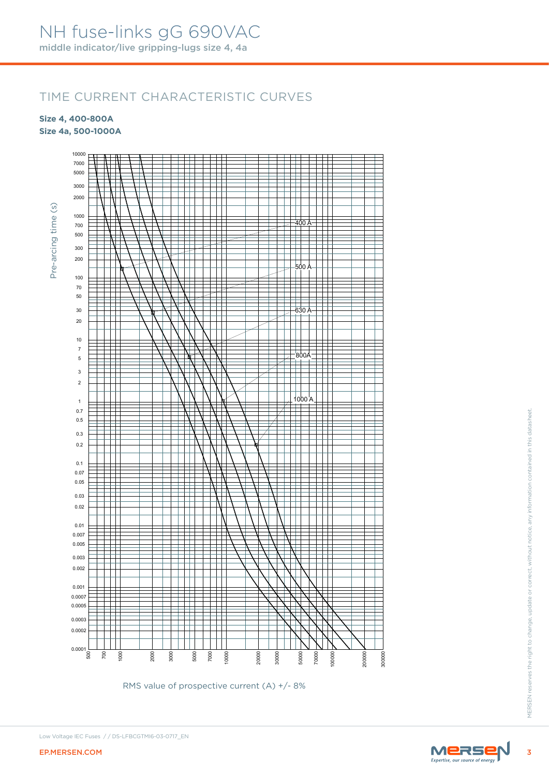## TIME CURRENT CHARACTERISTIC CURVES

**Size 4, 400-800A**

**Size 4a, 500-1000A**



RMS value of prospective current (A) +/- 8%



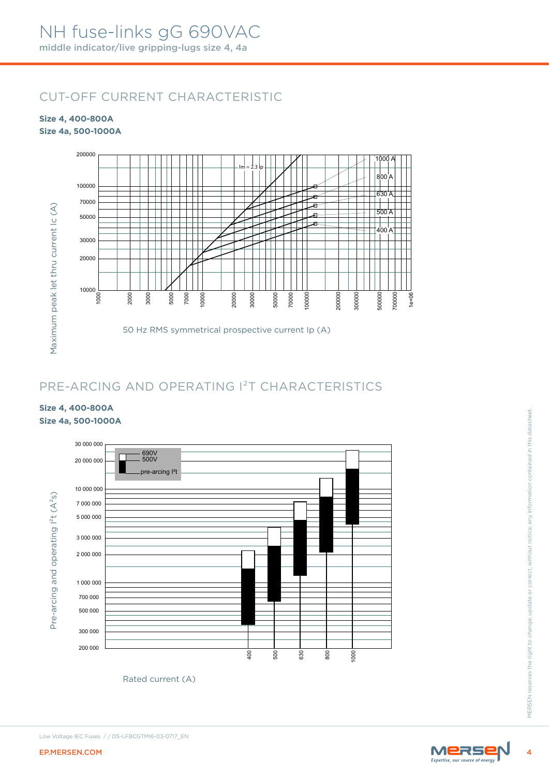## CUT-OFF CURRENT CHARACTERISTIC

#### **Size 4, 400-800A Size 4a, 500-1000A**



## PRE-ARCING AND OPERATING I²T CHARACTERISTICS

#### **Size 4, 400-800A Size 4a, 500-1000A**



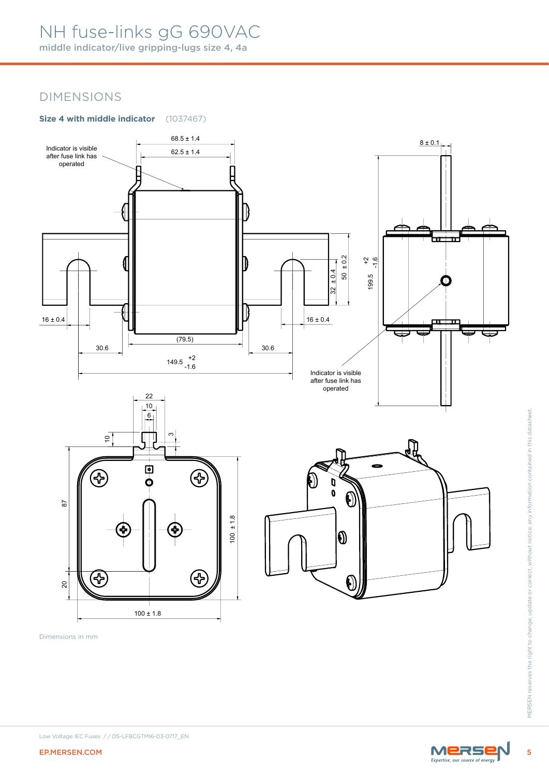## NH fuse-links gG 690VAC

middle indicator/live gripping-lugs size 4, 4a

## DIMENSIONS

### **Size 4 with middle indicator** (1037467)



Dimensions in mm